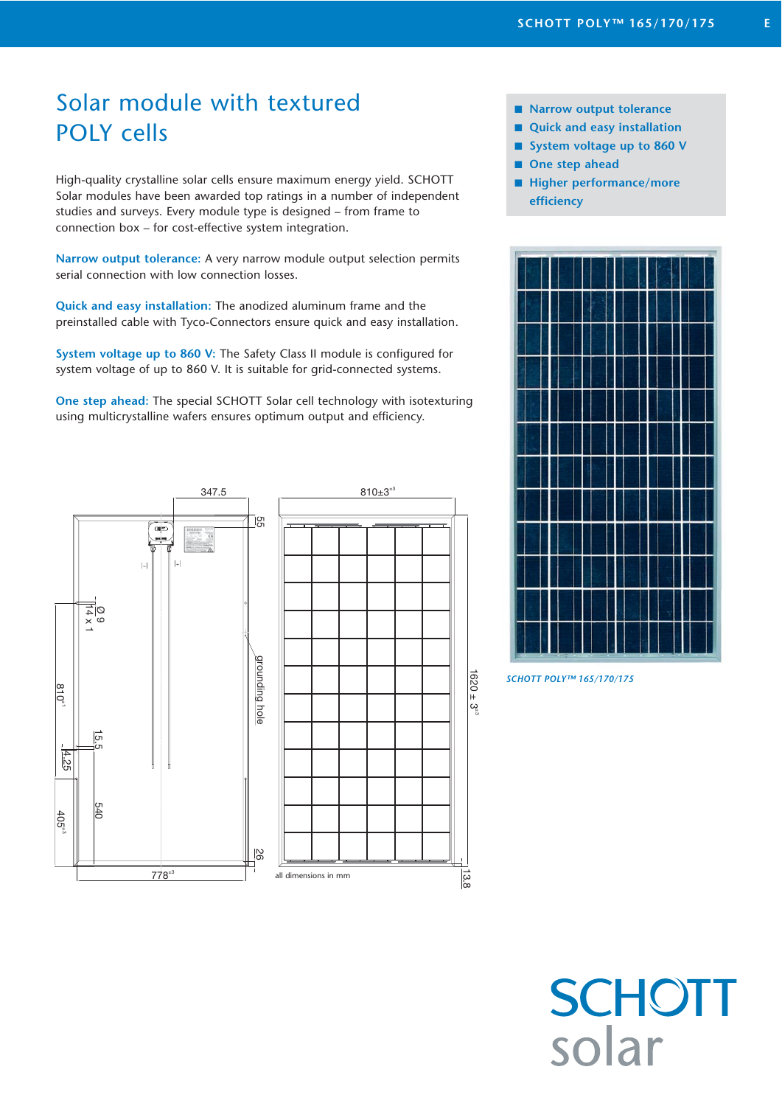# Solar module with textured POLY cells

High-quality crystalline solar cells ensure maximum energy yield. SCHOTT Solar modules have been awarded top ratings in a number of independent studies and surveys. Every module type is designed – from frame to connection box – for cost-effective system integration.

**Narrow output tolerance:** A very narrow module output selection permits serial connection with low connection losses.

**Quick and easy installation:** The anodized aluminum frame and the preinstalled cable with Tyco-Connectors ensure quick and easy installation.

**System voltage up to 860 V:** The Safety Class II module is configured for system voltage of up to 860 V. It is suitable for grid-connected systems.

**One step ahead:** The special SCHOTT Solar cell technology with isotexturing using multicrystalline wafers ensures optimum output and efficiency.



- Narrow output tolerance
- Quick and easy installation
- System voltage up to 860 V
- One step ahead
- Higher performance/more **efficiency**



*SCHOTT POLY™ 165/170/175*